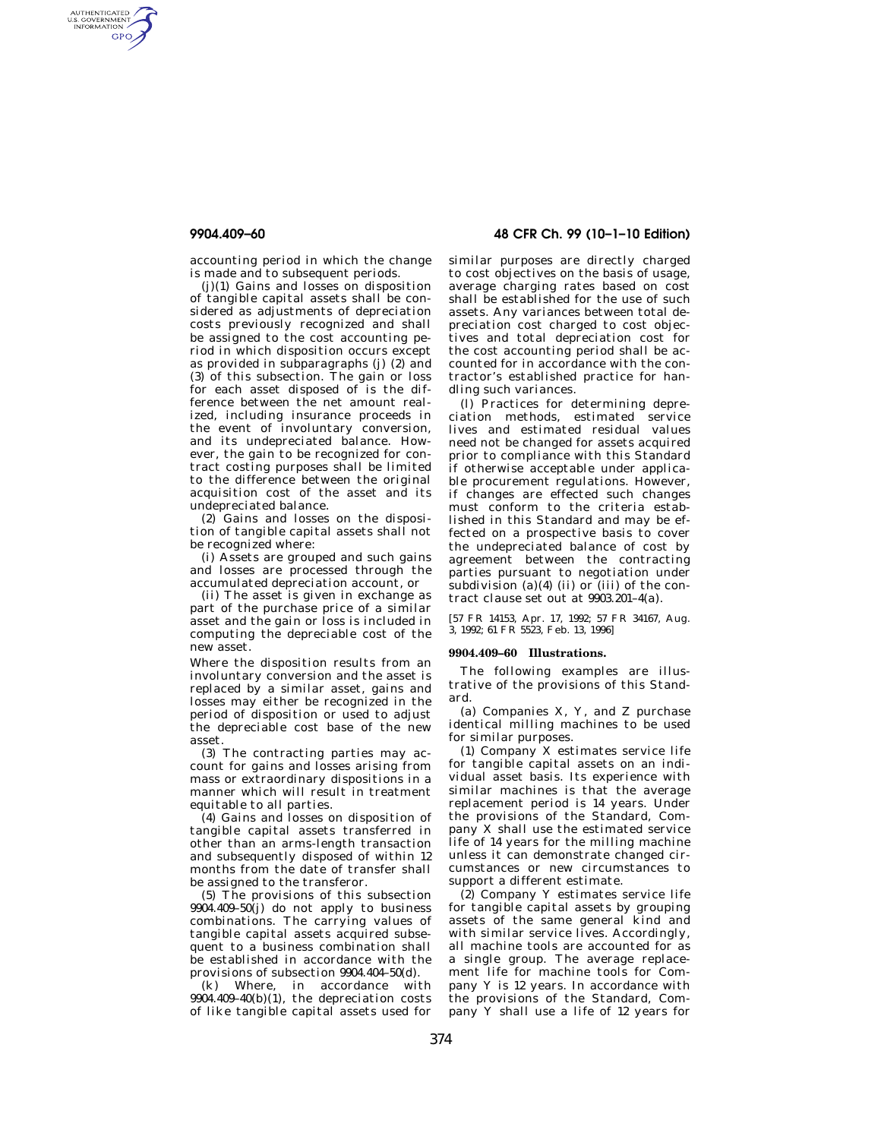AUTHENTICATED<br>U.S. GOVERNMENT<br>INFORMATION **GPO** 

> accounting period in which the change is made and to subsequent periods.

> (j)(1) Gains and losses on disposition of tangible capital assets shall be considered as adjustments of depreciation costs previously recognized and shall be assigned to the cost accounting period in which disposition occurs except as provided in subparagraphs (j) (2) and (3) of this subsection. The gain or loss for each asset disposed of is the difference between the net amount realized, including insurance proceeds in the event of involuntary conversion, and its undepreciated balance. However, the gain to be recognized for contract costing purposes shall be limited to the difference between the original acquisition cost of the asset and its undepreciated balance.

(2) Gains and losses on the disposition of tangible capital assets shall not be recognized where:

(i) Assets are grouped and such gains and losses are processed through the accumulated depreciation account, or

(ii) The asset is given in exchange as part of the purchase price of a similar asset and the gain or loss is included in computing the depreciable cost of the new asset.

Where the disposition results from an involuntary conversion and the asset is replaced by a similar asset, gains and losses may either be recognized in the period of disposition or used to adjust the depreciable cost base of the new asset.

(3) The contracting parties may account for gains and losses arising from mass or extraordinary dispositions in a manner which will result in treatment equitable to all parties.

(4) Gains and losses on disposition of tangible capital assets transferred in other than an arms-length transaction and subsequently disposed of within 12 months from the date of transfer shall be assigned to the transferor.

(5) The provisions of this subsection 9904.409–50(j) do not apply to business combinations. The carrying values of tangible capital assets acquired subsequent to a business combination shall be established in accordance with the provisions of subsection 9904.404–50(d).

(k) Where, in accordance with  $9904.409-40(b)(1)$ , the depreciation costs of like tangible capital assets used for

**9904.409–60 48 CFR Ch. 99 (10–1–10 Edition)** 

similar purposes are directly charged to cost objectives on the basis of usage, average charging rates based on cost shall be established for the use of such assets. Any variances between total depreciation cost charged to cost objectives and total depreciation cost for the cost accounting period shall be accounted for in accordance with the contractor's established practice for handling such variances.

(l) Practices for determining depreciation methods, estimated service lives and estimated residual values need not be changed for assets acquired prior to compliance with this Standard if otherwise acceptable under applicable procurement regulations. However, if changes are effected such changes must conform to the criteria established in this Standard and may be effected on a prospective basis to cover the undepreciated balance of cost by agreement between the contracting parties pursuant to negotiation under subdivision (a) $(4)$  (ii) or (iii) of the contract clause set out at 9903.201–4(a).

[57 FR 14153, Apr. 17, 1992; 57 FR 34167, Aug. 3, 1992; 61 FR 5523, Feb. 13, 1996]

## **9904.409–60 Illustrations.**

The following examples are illustrative of the provisions of this Standard.

(a) Companies X, Y, and Z purchase identical milling machines to be used for similar purposes.

(1) Company X estimates service life for tangible capital assets on an individual asset basis. Its experience with similar machines is that the average replacement period is 14 years. Under the provisions of the Standard, Company X shall use the estimated service life of 14 years for the milling machine unless it can demonstrate changed circumstances or new circumstances to support a different estimate.

(2) Company Y estimates service life for tangible capital assets by grouping assets of the same general kind and with similar service lives. Accordingly, all machine tools are accounted for as a single group. The average replacement life for machine tools for Company Y is 12 years. In accordance with the provisions of the Standard, Company Y shall use a life of 12 years for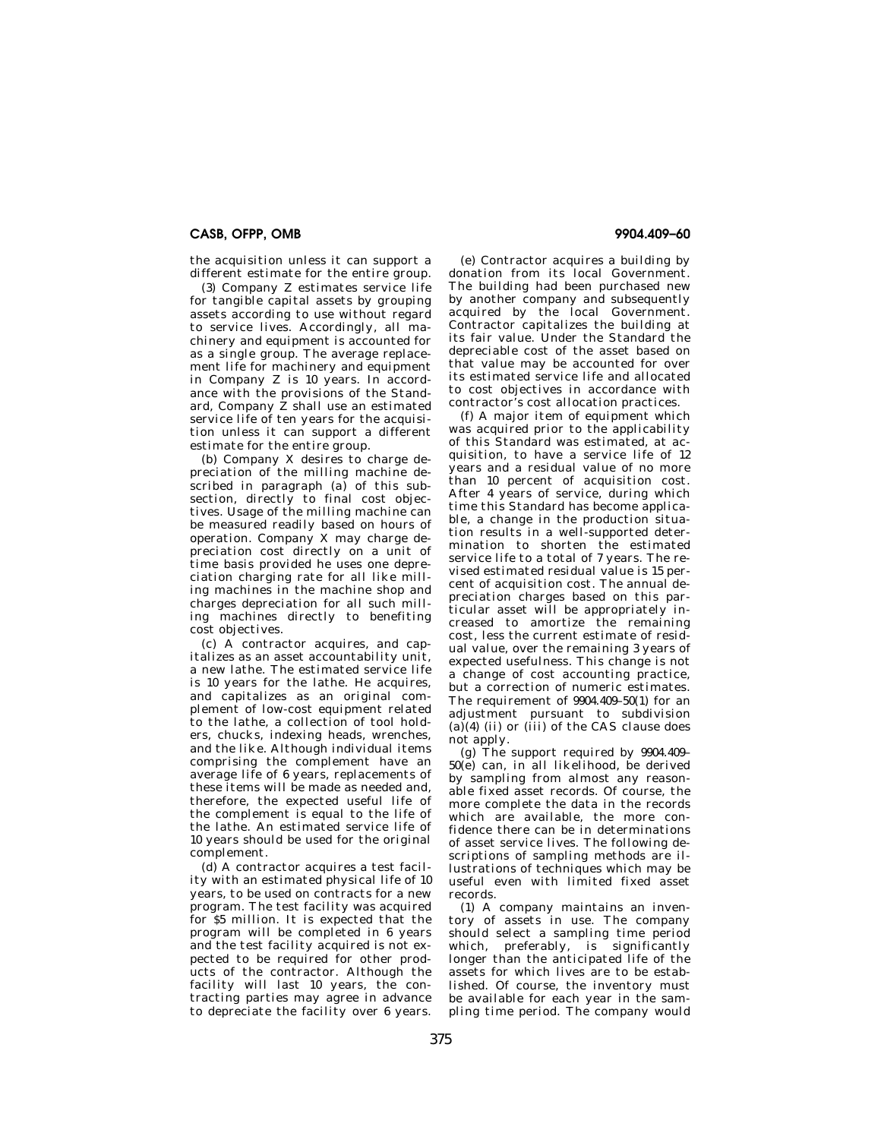## **CASB, OFPP, OMB 9904.409–60**

the acquisition unless it can support a different estimate for the entire group.

(3) Company Z estimates service life for tangible capital assets by grouping assets according to use without regard to service lives. Accordingly, all machinery and equipment is accounted for as a single group. The average replacement life for machinery and equipment in Company Z is 10 years. In accordance with the provisions of the Standard, Company  $\dot{Z}$  shall use an estimated service life of ten years for the acquisition unless it can support a different estimate for the entire group.

(b) Company X desires to charge depreciation of the milling machine described in paragraph  $(a)$  of this subsection, directly to final cost objectives. Usage of the milling machine can be measured readily based on hours of operation. Company X may charge depreciation cost directly on a unit of time basis provided he uses one depreciation charging rate for all like milling machines in the machine shop and charges depreciation for all such milling machines directly to benefiting cost objectives.

(c) A contractor acquires, and capitalizes as an asset accountability unit, a new lathe. The estimated service life is 10 years for the lathe. He acquires, and capitalizes as an original complement of low-cost equipment related to the lathe, a collection of tool holders, chucks, indexing heads, wrenches, and the like. Although individual items comprising the complement have an average life of 6 years, replacements of these items will be made as needed and, therefore, the expected useful life of the complement is equal to the life of the lathe. An estimated service life of 10 years should be used for the original complement.

(d) A contractor acquires a test facility with an estimated physical life of 10 years, to be used on contracts for a new program. The test facility was acquired for \$5 million. It is expected that the program will be completed in 6 years and the test facility acquired is not expected to be required for other products of the contractor. Although the facility will last 10 years, the contracting parties may agree in advance to depreciate the facility over 6 years.

(e) Contractor acquires a building by donation from its local Government. The building had been purchased new by another company and subsequently acquired by the local Government. Contractor capitalizes the building at its fair value. Under the Standard the depreciable cost of the asset based on that value may be accounted for over its estimated service life and allocated to cost objectives in accordance with contractor's cost allocation practices.

(f) A major item of equipment which was acquired prior to the applicability of this Standard was estimated, at acquisition, to have a service life of 12 years and a residual value of no more than 10 percent of acquisition cost. After 4 years of service, during which time this Standard has become applicable, a change in the production situation results in a well-supported determination to shorten the estimated service life to a total of 7 years. The revised estimated residual value is 15 percent of acquisition cost. The annual depreciation charges based on this particular asset will be appropriately increased to amortize the remaining cost, less the current estimate of residual value, over the remaining 3 years of expected usefulness. This change is not a change of cost accounting practice, but a correction of numeric estimates. The requirement of 9904.409–50(1) for an adjustment pursuant to subdivision  $(a)(4)$  (ii) or (iii) of the CAS clause does not apply.

(g) The support required by 9904.409– 50(e) can, in all likelihood, be derived by sampling from almost any reasonable fixed asset records. Of course, the more complete the data in the records which are available, the more confidence there can be in determinations of asset service lives. The following descriptions of sampling methods are illustrations of techniques which may be useful even with limited fixed asset records.

(1) A company maintains an inventory of assets in use. The company should select a sampling time period which, preferably, is significantly longer than the anticipated life of the assets for which lives are to be established. Of course, the inventory must be available for each year in the sampling time period. The company would